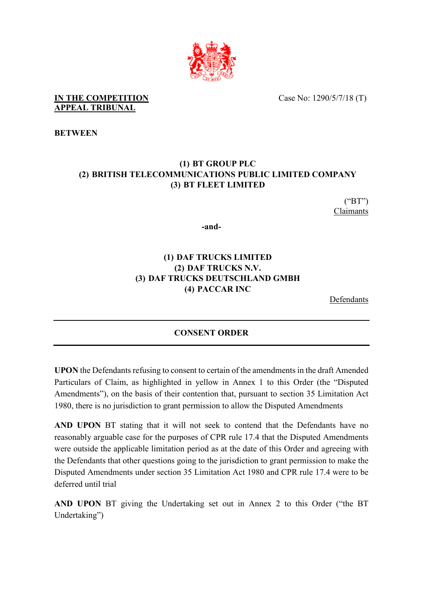

Case No: 1290/5/7/18 (T)

## **IN THE COMPETITION APPEAL TRIBUNAL**

**BETWEEN**

# **(1) BT GROUP PLC (2) BRITISH TELECOMMUNICATIONS PUBLIC LIMITED COMPANY (3) BT FLEET LIMITED**

("BT") Claimants

**-and-**

# **(1) DAF TRUCKS LIMITED (2) DAF TRUCKS N.V. (3) DAF TRUCKS DEUTSCHLAND GMBH (4) PACCAR INC**

Defendants

# **CONSENT ORDER**

**UPON** the Defendants refusing to consent to certain of the amendments in the draft Amended Particulars of Claim, as highlighted in yellow in Annex 1 to this Order (the "Disputed Amendments"), on the basis of their contention that, pursuant to section 35 Limitation Act 1980, there is no jurisdiction to grant permission to allow the Disputed Amendments

**AND UPON** BT stating that it will not seek to contend that the Defendants have no reasonably arguable case for the purposes of CPR rule 17.4 that the Disputed Amendments were outside the applicable limitation period as at the date of this Order and agreeing with the Defendants that other questions going to the jurisdiction to grant permission to make the Disputed Amendments under section 35 Limitation Act 1980 and CPR rule 17.4 were to be deferred until trial

**AND UPON** BT giving the Undertaking set out in Annex 2 to this Order ("the BT Undertaking")